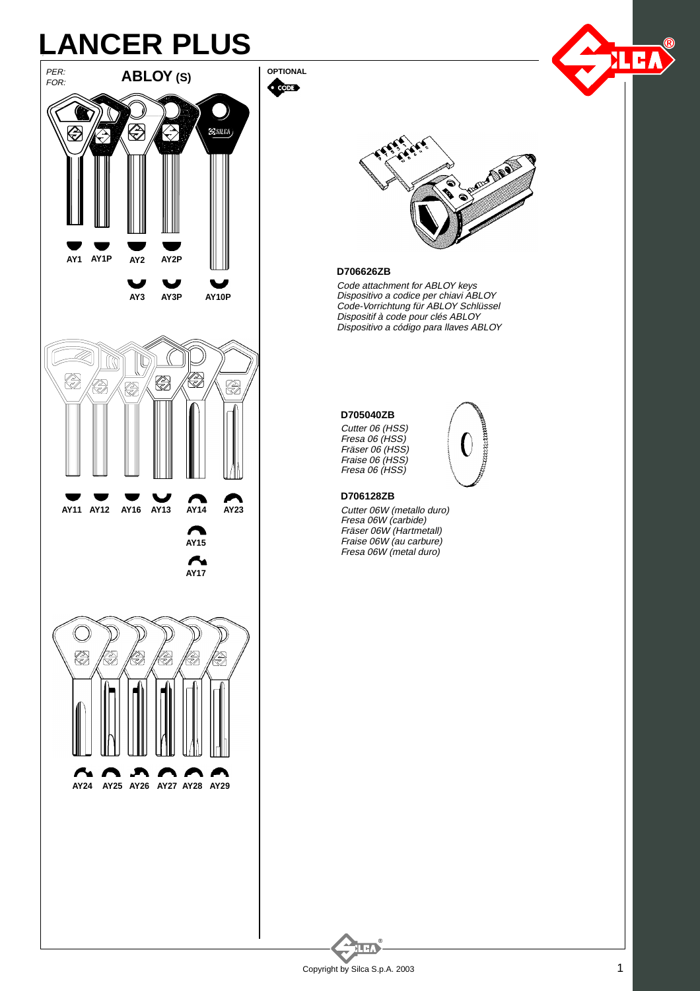## LANCER PLUS<br>EXAMPLE DE LONGITUDE DE LONGITUDE DE LONGITUDE DE LONGITUDE DE LONGITUDE DE LONGITUDE DE LA PRESENTE DE LA PRE



**OPTIONAL Company** 





## **D706626ZB**

Dispositivo a codice per chiavi ABLOY Code attachment for ABLOY keys Code-Vorrichtung für ABLOY Schlüssel Dispositif à code pour clés ABLOY Dispositivo a código para llaves ABLOY

mmmm

## **D705040ZB**

Fresa 06 (HSS) Cutter 06 (HSS) Fräser 06 (HSS) Fraise 06 (HSS) Fresa 06 (HSS)

## **D706128ZB**

Fresa 06W (carbide) Cutter 06W (metallo duro) Fräser 06W (Hartmetall) Fraise 06W (au carbure) Fresa 06W (metal duro)

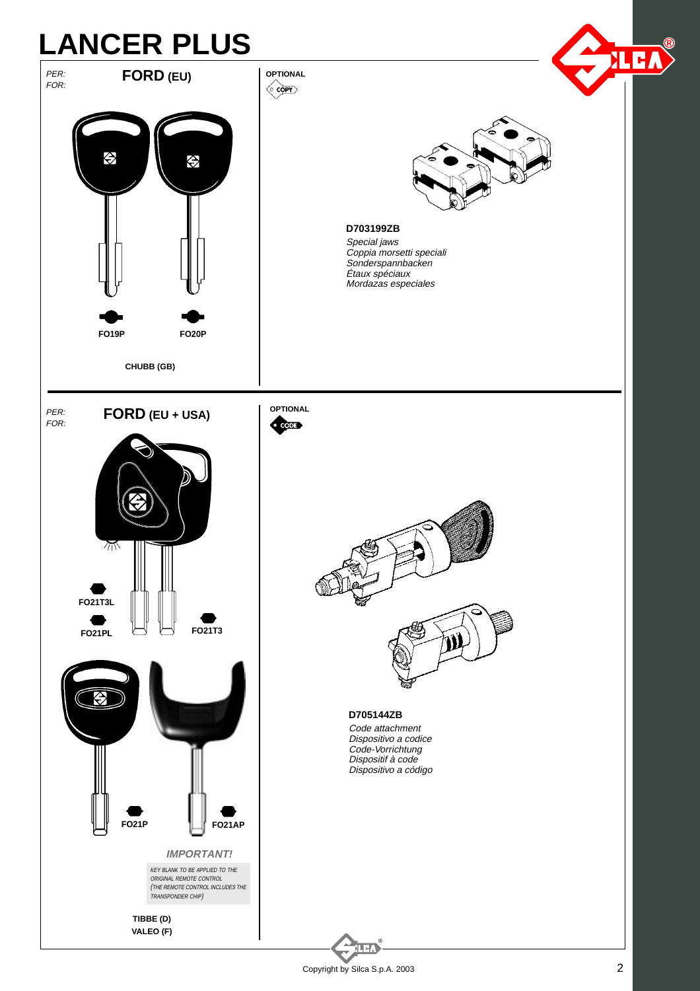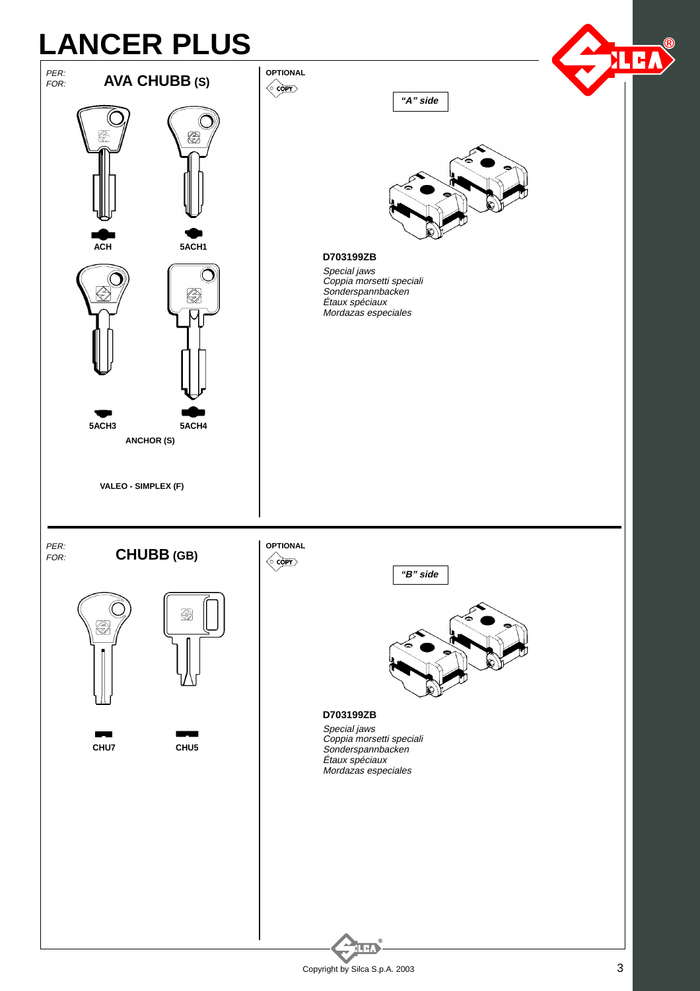

Copyright by Silca S.p.A. 2003 3